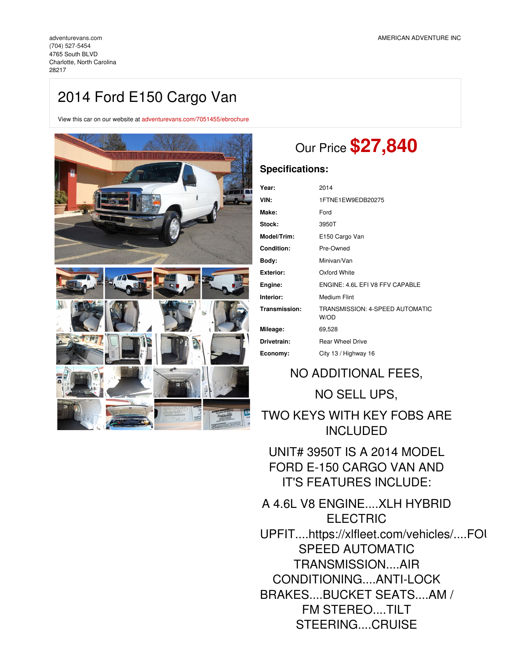(704) [527-5454](tel:(704) 527-5454) 4765 South BLVD Charlotte, North Carolina 28217

# 2014 Ford E150 Cargo Van

View this car on our website at [adventurevans.com/7051455/ebrochure](https://adventurevans.com/vehicle/7051455/2014-ford-e150-cargo-van-charlotte-north-carolina-28217/7051455/ebrochure)



# Our Price **\$27,840**

### **Specifications:**

| Year:            | 2014                                    |
|------------------|-----------------------------------------|
| VIN:             | 1FTNE1EW9EDB20275                       |
| Make:            | Ford                                    |
| Stock:           | 3950T                                   |
| Model/Trim:      | E150 Cargo Van                          |
| Condition:       | Pre-Owned                               |
| Body:            | Minivan/Van                             |
| <b>Exterior:</b> | Oxford White                            |
| Engine:          | ENGINE: 4.6L EFI V8 FFV CAPABLE         |
| Interior:        | Medium Flint                            |
| Transmission:    | TRANSMISSION: 4-SPEED AUTOMATIC<br>W/OD |
| Mileage:         | 69,528                                  |
| Drivetrain:      | <b>Rear Wheel Drive</b>                 |
| Economy:         | City 13 / Highway 16                    |

## NO ADDITIONAL FEES,

NO SELL UPS,

TWO KEYS WITH KEY FOBS ARE INCLUDED

UNIT# 3950T IS A 2014 MODEL FORD E-150 CARGO VAN AND IT'S FEATURES INCLUDE:

A 4.6L V8 ENGINE....XLH HYBRID ELECTRIC UPFIT....https://xlfleet.com/vehicles/....FOI SPEED AUTOMATIC TRANSMISSION....AIR CONDITIONING....ANTI-LOCK BRAKES....BUCKET SEATS....AM / FM STEREO....TILT STEERING....CRUISE

CONTROL....POWER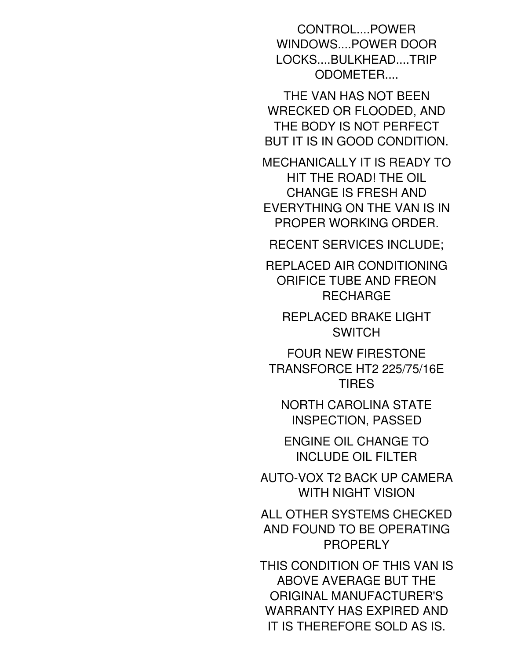CONTROL....POWER WINDOWS....POWER DOOR LOCKS....BULKHEAD....TRIP ODOMETER....

THE VAN HAS NOT BEEN WRECKED OR FLOODED, AND THE BODY IS NOT PERFECT BUT IT IS IN GOOD CONDITION.

MECHANICALLY IT IS READY TO HIT THE ROAD! THE OIL CHANGE IS FRESH AND EVERYTHING ON THE VAN IS IN PROPER WORKING ORDER.

RECENT SERVICES INCLUDE;

REPLACED AIR CONDITIONING ORIFICE TUBE AND FREON RECHARGE

REPLACED BRAKE LIGHT **SWITCH** 

FOUR NEW FIRESTONE TRANSFORCE HT2 225/75/16E TIRES

NORTH CAROLINA STATE INSPECTION, PASSED

ENGINE OIL CHANGE TO INCLUDE OIL FILTER

AUTO-VOX T2 BACK UP CAMERA WITH NIGHT VISION

ALL OTHER SYSTEMS CHECKED AND FOUND TO BE OPERATING PROPERLY

THIS CONDITION OF THIS VAN IS ABOVE AVERAGE BUT THE ORIGINAL MANUFACTURER'S WARRANTY HAS EXPIRED AND IT IS THEREFORE SOLD AS IS.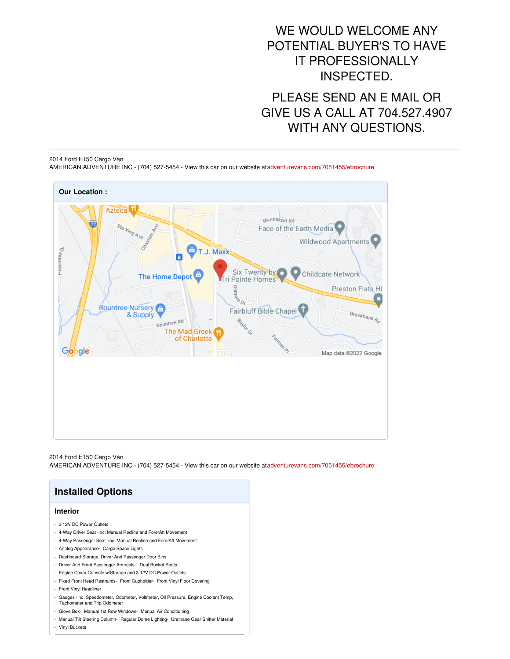## WE WOULD WELCOME ANY POTENTIAL BUYER'S TO HAVE IT PROFESSIONALLY INSPECTED.

PLEASE SEND AN E MAIL OR GIVE US A CALL AT 704.527.4907 WITH ANY QUESTIONS.

#### 2014 Ford E150 Cargo Van AMERICAN ADVENTURE INC - (704) 527-5454 - View this car on our website at[adventurevans.com/7051455/ebrochure](https://adventurevans.com/vehicle/7051455/2014-ford-e150-cargo-van-charlotte-north-carolina-28217/7051455/ebrochure)



2014 Ford E150 Cargo Van AMERICAN ADVENTURE INC - (704) 527-5454 - View this car on our website at[adventurevans.com/7051455/ebrochure](https://adventurevans.com/vehicle/7051455/2014-ford-e150-cargo-van-charlotte-north-carolina-28217/7051455/ebrochure)

| <b>Installed Options</b>                                                                                                 |  |
|--------------------------------------------------------------------------------------------------------------------------|--|
| <b>Interior</b>                                                                                                          |  |
| - 3.12V DC Power Outlets                                                                                                 |  |
| - 4-Way Driver Seat -inc: Manual Recline and Fore/Aft Movement                                                           |  |
| - 4-Way Passenger Seat -inc: Manual Recline and Fore/Aft Movement                                                        |  |
| Analog Appearance Cargo Space Lights                                                                                     |  |
| Dashboard Storage, Driver And Passenger Door Bins                                                                        |  |
| Driver And Front Passenger Armrests - Dual Bucket Seats<br>٠                                                             |  |
| Engine Cover Console w/Storage and 3 12V DC Power Outlets                                                                |  |
| Fixed Front Head Restraints- Front Cupholder- Front Vinyl Floor Covering                                                 |  |
| Front Vinyl Headliner<br>٠                                                                                               |  |
| Gauges -inc: Speedometer, Odometer, Voltmeter, Oil Pressure, Engine Coolant Temp,<br><b>Tachometer and Trip Odometer</b> |  |
| Glove Box- Manual 1st Row Windows- Manual Air Conditioning                                                               |  |
| - Manual Tilt Steering Column- Regular Dome Lighting- Urethane Gear Shifter Material                                     |  |

- Vinyl Buckets